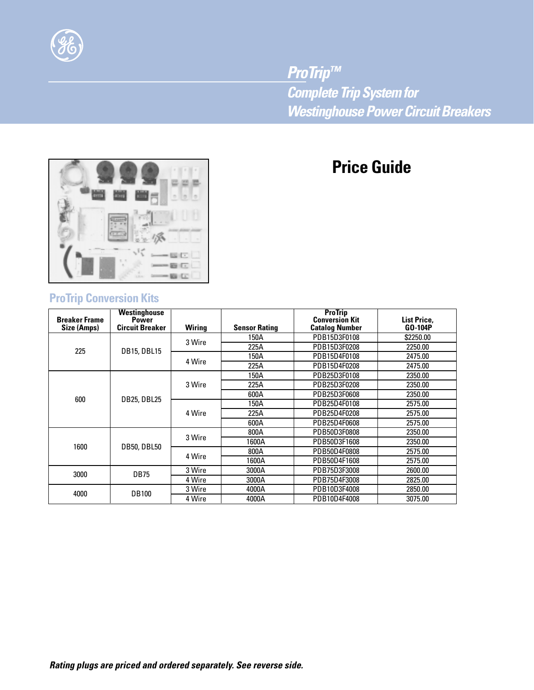

*ProTrip™ Complete Trip System for Westinghouse Power Circuit Breakers*

# **Price Guide**



# **ProTrip Conversion Kits**

| <b>Breaker Frame</b><br>Size (Amps) | <b>Westinghouse</b><br><b>Power</b><br><b>Circuit Breaker</b> | <b>Wiring</b> | <b>Sensor Rating</b> | <b>ProTrip</b><br><b>Conversion Kit</b><br><b>Catalog Number</b> | List Price,<br>GO-104P |
|-------------------------------------|---------------------------------------------------------------|---------------|----------------------|------------------------------------------------------------------|------------------------|
| 225                                 | <b>DB15, DBL15</b>                                            | 3 Wire        | 150A                 | PDB15D3F0108                                                     | \$2250.00              |
|                                     |                                                               |               | 225A                 | PDB15D3F0208                                                     | 2250.00                |
|                                     |                                                               | 4 Wire        | 150A                 | PDB15D4F0108                                                     | 2475.00                |
|                                     |                                                               |               | 225A                 | PDB15D4F0208                                                     | 2475.00                |
| 600                                 | <b>DB25, DBL25</b>                                            | 3 Wire        | 150A                 | PDB25D3F0108                                                     | 2350.00                |
|                                     |                                                               |               | 225A                 | PDB25D3F0208                                                     | 2350.00                |
|                                     |                                                               |               | 600A                 | PDB25D3F0608                                                     | 2350.00                |
|                                     |                                                               | 4 Wire        | 150A                 | PDB25D4F0108                                                     | 2575.00                |
|                                     |                                                               |               | 225A                 | PDB25D4F0208                                                     | 2575.00                |
|                                     |                                                               |               | 600A                 | PDB25D4F0608                                                     | 2575.00                |
| 1600                                | <b>DB50, DBL50</b>                                            | 3 Wire        | 800A                 | PDB50D3F0808                                                     | 2350.00                |
|                                     |                                                               |               | 1600A                | PDB50D3F1608                                                     | 2350.00                |
|                                     |                                                               | 4 Wire        | 800A                 | PDB50D4F0808                                                     | 2575.00                |
|                                     |                                                               |               | 1600A                | PDB50D4F1608                                                     | 2575.00                |
| 3000                                | <b>DB75</b>                                                   | 3 Wire        | 3000A                | PDB75D3F3008                                                     | 2600.00                |
|                                     |                                                               | 4 Wire        | 3000A                | PDB75D4F3008                                                     | 2825.00                |
| 4000                                | <b>DB100</b>                                                  | 3 Wire        | 4000A                | PDB10D3F4008                                                     | 2850.00                |
|                                     |                                                               | 4 Wire        | 4000A                | PDB10D4F4008                                                     | 3075.00                |